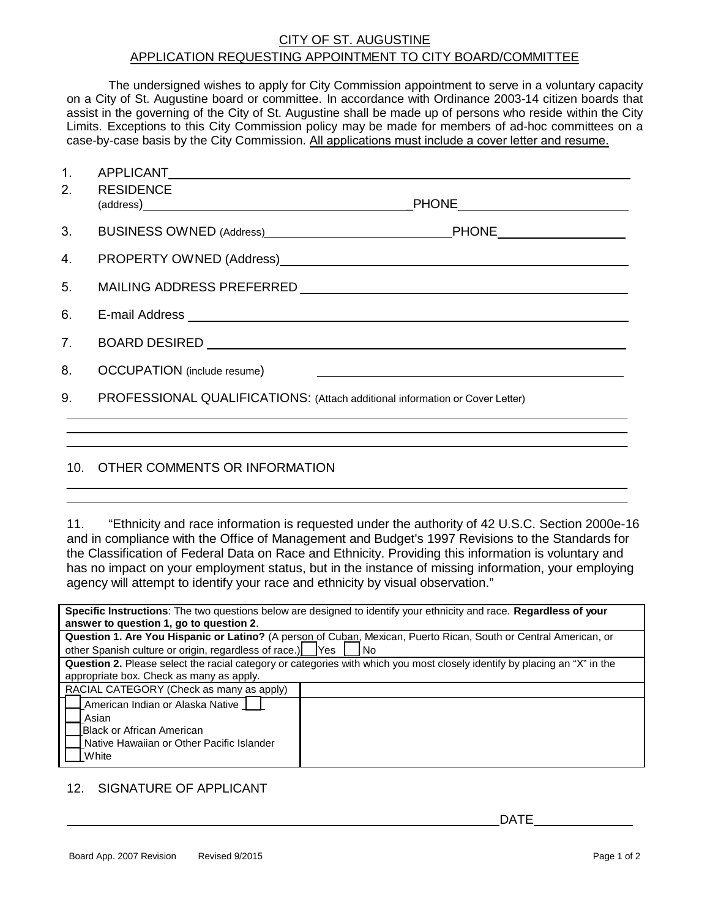## CITY OF ST. AUGUSTINE APPLICATION REQUESTING APPOINTMENT TO CITY BOARD/COMMITTEE

The undersigned wishes to apply for City Commission appointment to serve in a voluntary capacity on a City of St. Augustine board or committee. In accordance with Ordinance 2003-14 citizen boards that assist in the governing of the City of St. Augustine shall be made up of persons who reside within the City Limits. Exceptions to this City Commission policy may be made for members of ad-hoc committees on a case-by-case basis by the City Commission. All applications must include a cover letter and resume.

| 1.             |                                                                              |  |
|----------------|------------------------------------------------------------------------------|--|
| 2.             | <b>RESIDENCE</b>                                                             |  |
|                |                                                                              |  |
| 3.             |                                                                              |  |
| 4.             |                                                                              |  |
| 5.             |                                                                              |  |
| 6.             |                                                                              |  |
| 7 <sub>1</sub> |                                                                              |  |
| 8.             | <b>OCCUPATION</b> (include resume)                                           |  |
| 9.             | PROFESSIONAL QUALIFICATIONS: (Attach additional information or Cover Letter) |  |
|                |                                                                              |  |
|                |                                                                              |  |

## 10. OTHER COMMENTS OR INFORMATION

11. "Ethnicity and race information is requested under the authority of 42 U.S.C. Section 2000e-16 and in compliance with the Office of Management and Budget's 1997 Revisions to the Standards for the Classification of Federal Data on Race and Ethnicity. Providing this information is voluntary and has no impact on your employment status, but in the instance of missing information, your employing agency will attempt to identify your race and ethnicity by visual observation."

| Specific Instructions: The two questions below are designed to identify your ethnicity and race. Regardless of your       |  |  |
|---------------------------------------------------------------------------------------------------------------------------|--|--|
| answer to question 1, go to question 2.                                                                                   |  |  |
| Question 1. Are You Hispanic or Latino? (A person of Cuban, Mexican, Puerto Rican, South or Central American, or          |  |  |
| other Spanish culture or origin, regardless of race.)<br><b>IYes</b><br><b>No</b>                                         |  |  |
| Question 2. Please select the racial category or categories with which you most closely identify by placing an "X" in the |  |  |
| appropriate box. Check as many as apply.                                                                                  |  |  |
| RACIAL CATEGORY (Check as many as apply)                                                                                  |  |  |
| American Indian or Alaska Native                                                                                          |  |  |
| Asian                                                                                                                     |  |  |
| IBlack or African American                                                                                                |  |  |
| Native Hawaiian or Other Pacific Islander                                                                                 |  |  |
| White                                                                                                                     |  |  |

## 12. SIGNATURE OF APPLICANT